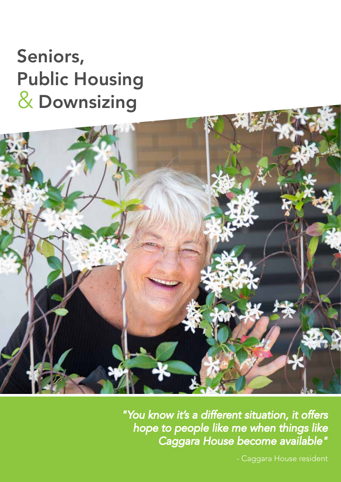## Seniors, Public Housing Downsizing &



*"You know it's a different situation, it offers hope to people like me when things like Caggara House become available"*

- Caggara House resident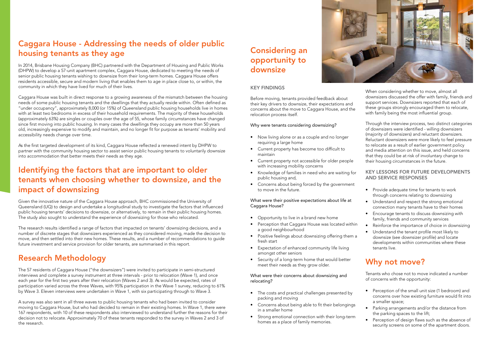### Caggara House - Addressing the needs of older public housing tenants as they age

In 2014, Brisbane Housing Company (BHC) partnered with the Department of Housing and Public Works (DHPW) to develop a 57-unit apartment complex, Caggara House, dedicated to meeting the needs of senior public housing tenants wishing to downsize from their long-term homes. Caggara House offers residents accessible, secure and modern living that enables them to age in place close to, or within, the community in which they have lived for much of their lives.

Caggara House was built in direct response to a growing awareness of the mismatch between the housing needs of some public housing tenants and the dwellings that they actually reside within. Often defined as "under occupancy", approximately 8,000 (or 15%) of Queensland public housing households live in homes with at least two bedrooms in excess of their household requirements. The majority of these households (approximately 63%) are singles or couples over the age of 55, whose family circumstances have changed since first moving into public housing. In many cases the dwellings they occupy are more than 50 years old, increasingly expensive to modify and maintain, and no longer fit for purpose as tenants' mobility and accessibility needs change over time.

As the first targeted development of its kind, Caggara House reflected a renewed intent by DHPW to partner with the community housing sector to assist senior public housing tenants to voluntarily downsize into accommodation that better meets their needs as they age.

### Identifying the factors that are important to older tenants when choosing whether to downsize, and the impact of downsizing

Given the innovative nature of the Caggara House approach, BHC commissioned the University of Queensland (UQ) to design and undertake a longitudinal study to investigate the factors that influenced public housing tenants' decisions to downsize, or alternatively, to remain in their public housing homes. The study also sought to understand the experience of downsizing for those who relocated.

The research results identified a range of factors that impacted on tenants' downsizing decisions, and a number of discrete stages that downsizers experienced as they considered moving, made the decision to move, and then settled into their new homes. These results, and a number of recommendations to guide future investment and service provision for older tenants, are summarised in this report.

### Research Methodology

The 57 residents of Caggara House ("the downsizers") were invited to participate in semi-structured interviews and complete a survey instrument at three intervals - prior to relocation (Wave 1), and once each year for the first two years after their relocation (Waves 2 and 3). As would be expected, rates of participation varied across the three Waves, with 95% participation in the Wave 1 survey, reducing to 61% by Wave 3. Eleven interviews were undertaken in Wave 1, with six participating through to Wave 3.

- Perception of the small unit size (1 bedroom) and concerns over how existing furniture would fit into a smaller space;
- Parking arrangements and/or the distance from the parking spaces to the lift;
- Perception of design flaws such as the absence of security screens on some of the apartment doors.

A survey was also sent in all three waves to public housing tenants who had been invited to consider moving to Caggara House, but who had decided to remain in their existing homes. In Wave 1, there were 167 respondents, with 10 of these respondents also interviewed to understand further the reasons for their decision not to relocate. Approximately 70 of these tenants responded to the survey in Waves 2 and 3 of the research.

### KEY FINDINGS

Before moving, tenants provided feedback about their key drivers to downsize, their expectations and concerns about the move to Caggara House, and the relocation process itself.

#### Why were tenants considering downsizing?

- Now living alone or as a couple and no longer requiring a large home
- Current property has become too difficult to maintain
- Current property not accessible for older people with increasing mobility concerns
- Knowledge of families in need who are waiting for public housing and,
- Concerns about being forced by the government to move in the future.

#### What were their positive expectations about life at Caggara House?

- Opportunity to live in a brand new home
- Perception that Caggara House was located within a good neighbourhood
- Positive feelings about downsizing offering them a fresh start
- Expectation of enhanced community life living amongst other seniors
- Security of a long-term home that would better meet their needs as they grow older.

#### What were their concerns about downsizing and relocating?

- The costs and practical challenges presented by packing and moving
- Concerns about being able to fit their belongings in a smaller home
- Strong emotional connection with their long-term homes as a place of family memories.

When considering whether to move, almost all downsizers discussed the offer with family, friends and support services. Downsizers reported that each of these groups strongly encouraged them to relocate, with family being the most influential group.

Through the interview process, two distinct categories of downsizers were identified - willing downsizers (majority of downsizers) and reluctant downsizers. Reluctant downsizers were more likely to feel pressure to relocate as a result of earlier government policy and media attention on this issue, and held concerns that they could be at risk of involuntary change to their housing circumstances in the future.

### KEY LESSONS FOR FUTURE DEVELOPMENTS AND SERVICE RESPONSES

- Provide adequate time for tenants to work through concerns relating to downsizing
- Understand and respect the strong emotional connection many tenants have to their homes
- Encourage tenants to discuss downsizing with family, friends and community services
- Reinforce the importance of choice in downsizing
- Understand the tenant profile most likely to downsize (see downsizer profile) and locate developments within communities where these tenants live.

### Why not move?

Tenants who chose not to move indicated a number of concerns with the opportunity:

### Considering an opportunity to downsize

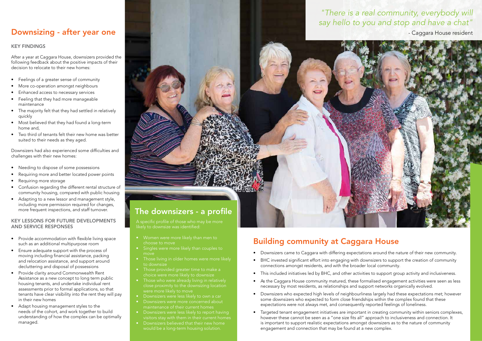### KEY FINDINGS

After a year at Caggara House, downsizers provided the following feedback about the positive impacts of their decision to relocate to their new homes:

- Feelings of a greater sense of community
- More co-operation amongst neighbours
- Enhanced access to necessary services
- Feeling that they had more manageable maintenance
- The majority felt that they had settled in relatively quickly
- Most believed that they had found a long-term home and,
- Two third of tenants felt their new home was better suited to their needs as they aged.

Downsizers had also experienced some difficulties and challenges with their new homes:

- Needing to dispose of some possessions
- Requiring more and better located power points
- Requiring more storage
- Confusion regarding the different rental structure of community housing, compared with public housing
- Adapting to a new lessor and management style, including more permission required for changes, more frequent inspections, and staff turnover.

#### KEY LESSONS FOR FUTURE DEVELOPMENTS AND SERVICE RESPONSES

- Provide accommodation with flexible living space such as an additional multipurpose room
- Ensure adequate support with the process of moving including financial assistance, packing and relocation assistance, and support around decluttering and disposal of possessions
- Provide clarity around Commonwealth Rent Assistance as a new concept to long term public housing tenants, and undertake individual rent assessments prior to formal applications, so that tenants have clear visibility into the rent they will pay in their new homes
- Adapt housing management styles to the needs of the cohort, and work together to build understanding of how the complex can be optimally managed.

### Downsizing - after year one

likely to downsize was identified:

- choose to move
- Singles were more likely than couples to
- Those living in older homes were more likely to downsize
- Those provided greater time to make a
- Those who were already living in relatively
- Downsizers were less likely to own a car
- Downsizers were more concerned about
- Downsizers were less likely to report having visitors stay with them in their current homes
- 



- Downsizers came to Caggara with differing expectations around the nature of their new community.
- BHC invested significant effort into engaging with downsizers to support the creation of community connections amongst residents, and with the broader local community.
- This included initiatives led by BHC, and other activities to support group activity and inclusiveness.
- As the Caggara House community matured, these formalised engagement activities were seen as less necessary by most residents, as relationships and support networks organically evolved.
- Downsizers who expected high levels of neighbourliness largely had these expectations met; however some downsizers who expected to form close friendships within the complex found that these expectations were not always met, and consequently reported feelings of loneliness.
- Targeted tenant engagement initiatives are important in creating community within seniors complexes, however these cannot be seen as a "one size fits all" approach to inclusiveness and connection. It is important to support realistic expectations amongst downsizers as to the nature of community engagement and connection that may be found at a new complex.

### Building community at Caggara House

# *"There is a real community, everybody will*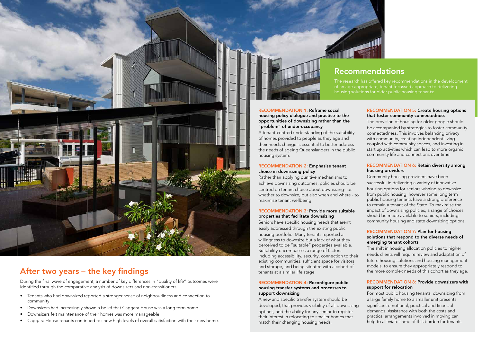

### After two years – the key findings

During the final wave of engagement, a number of key differences in "quality of life" outcomes were identified through the comparative analysis of downsizers and non-transitioners:

- Tenants who had downsized reported a stronger sense of neighbourliness and connection to community
- Downsizers had increasingly shown a belief that Caggara House was a long term home
- Downsizers felt maintenance of their homes was more manageable
- Caggara House tenants continued to show high levels of overall satisfaction with their new home.

### Recommendations

The research has offered key recommendations in the development of an age appropriate, tenant focussed approach to delivering housing solutions for older public housing tenants:

#### RECOMMENDATION 1: Reframe social housing policy dialogue and practice to the opportunities of downsizing rather than the "problem" of under-occupancy

A tenant-centred understanding of the suitability of homes provided to people as they age and their needs change is essential to better address the needs of ageing Queenslanders in the public housing system.

### RECOMMENDATION 2: Emphasise tenant choice in downsizing policy

Rather than applying punitive mechanisms to achieve downsizing outcomes, policies should be centred on tenant choice about downsizing- i.e. whether to downsize, but also when and where - to maximise tenant wellbeing.

#### RECOMMENDATION 3: Provide more suitable properties that facilitate downsizing

Seniors have specific housing needs that aren't easily addressed through the existing public housing portfolio. Many tenants reported a willingness to downsize but a lack of what they perceived to be "suitable" properties available. Suitability encompasses a range of factors including accessibility, security, connection to their existing communities, sufficient space for visitors and storage, and being situated with a cohort of tenants at a similar life stage.

#### RECOMMENDATION 4: Reconfigure public housing transfer systems and processes to support downsizing

A new and specific transfer system should be developed, that provides visibility of all downsizing options, and the ability for any senior to register their interest in relocating to smaller homes that match their changing housing needs.



#### RECOMMENDATION 5: Create housing options that foster community connectedness

The provision of housing for older people should be accompanied by strategies to foster community connectedness. This involves balancing privacy with community, creating independent living coupled with community spaces, and investing in start up activities which can lead to more organic community life and connections over time.

### RECOMMENDATION 6: Retain diversity among housing providers

Community housing providers have been successful in delivering a variety of innovative housing options for seniors wishing to downsize from public housing, however some long term public housing tenants have a strong preference to remain a tenant of the State. To maximise the impact of downsizing policies, a range of choices should be made available to seniors, including community housing and state downsizing options.

#### RECOMMENDATION 7: Plan for housing solutions that respond to the diverse needs of emerging tenant cohorts

The shift in housing allocation policies to higher needs clients will require review and adaptation of future housing solutions and housing management models, to ensure they appropriately respond to the more complex needs of this cohort as they age.

### RECOMMENDATION 8: Provide downsizers with support for relocation

For most public housing tenants, downsizing from a large family home to a smaller unit presents significant emotional, practical and financial demands. Assistance with both the costs and practical arrangements involved in moving can help to alleviate some of this burden for tenants.